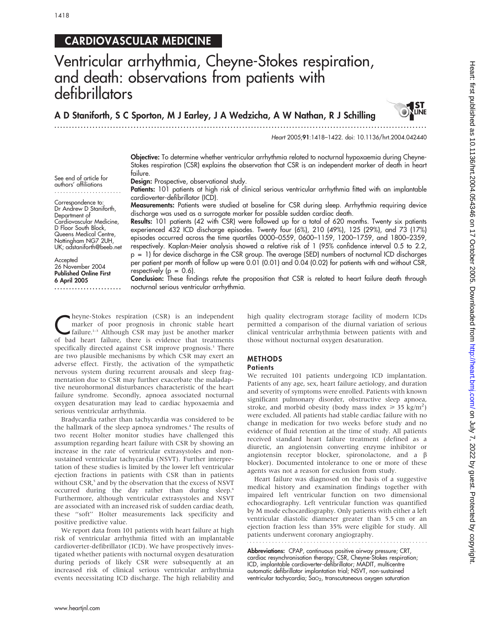....................... Correspondence to: Dr Andrew D Staniforth, Department of

Cardiovascular Medicine, D Floor South Block, Queens Medical Centre, Nottingham NG7 2UH, UK; adstaniforth@beeb.net

.......................

Accepted 26 November 2004 Published Online First 6 April 2005

## CARDIOVASCULAR MEDICINE

# Ventricular arrhythmia, Cheyne-Stokes respiration, and death: observations from patients with defibrillators

A D Staniforth, S C Sporton, M J Earley, J A Wedzicha, A W Nathan, R J Schilling

...............................................................................................................................



Heart 2005;91:1418–1422. doi: 10.1136/hrt.2004.042440

Objective: To determine whether ventricular arrhythmia related to nocturnal hypoxaemia during Cheyne-Stokes respiration (CSR) explains the observation that CSR is an independent marker of death in heart failure.

See end of article for authors' affiliations Design: Prospective, observational study.

Patients: 101 patients at high risk of clinical serious ventricular arrhythmia fitted with an implantable cardioverter-defibrillator (ICD).

Measurements: Patients were studied at baseline for CSR during sleep. Arrhythmia requiring device discharge was used as a surrogate marker for possible sudden cardiac death.

Results: 101 patients (42 with CSR) were followed up for a total of 620 months. Twenty six patients experienced 432 ICD discharge episodes. Twenty four (6%), 210 (49%), 125 (29%), and 73 (17%) episodes occurred across the time quartiles 0000–0559, 0600–1159, 1200–1759, and 1800–2359, respectively. Kaplan-Meier analysis showed a relative risk of 1 (95% confidence interval 0.5 to 2.2, p = 1) for device discharge in the CSR group. The average (SED) numbers of nocturnal ICD discharges per patient per month of follow up were 0.01 (0.01) and 0.04 (0.02) for patients with and without CSR, respectively ( $p = 0.6$ ).

Conclusion: These findings refute the proposition that CSR is related to heart failure death through nocturnal serious ventricular arrhythmia.

Theyne-Stokes respiration (CSR) is an independent<br>
marker of poor prognosis in chronic stable heart<br>
failure.<sup>1-3</sup> Although CSR may just be another marker marker of poor prognosis in chronic stable heart  $\blacktriangle$  failure.<sup>1-3</sup> Although CSR may just be another marker of bad heart failure, there is evidence that treatments specifically directed against CSR improve prognosis.<sup>3</sup> There are two plausible mechanisms by which CSR may exert an adverse effect. Firstly, the activation of the sympathetic nervous system during recurrent arousals and sleep fragmentation due to CSR may further exacerbate the maladaptive neurohormonal disturbances characteristic of the heart failure syndrome. Secondly, apnoea associated nocturnal oxygen desaturation may lead to cardiac hypoxaemia and serious ventricular arrhythmia.

Bradycardia rather than tachycardia was considered to be the hallmark of the sleep apnoea syndromes.<sup>4</sup> The results of two recent Holter monitor studies have challenged this assumption regarding heart failure with CSR by showing an increase in the rate of ventricular extrasystoles and nonsustained ventricular tachycardia (NSVT). Further interpretation of these studies is limited by the lower left ventricular ejection fractions in patients with CSR than in patients without CSR,<sup>5</sup> and by the observation that the excess of NSVT occurred during the day rather than during sleep.<sup>6</sup> Furthermore, although ventricular extrasystoles and NSVT are associated with an increased risk of sudden cardiac death, these ''soft'' Holter measurements lack specificity and positive predictive value.

We report data from 101 patients with heart failure at high risk of ventricular arrhythmia fitted with an implantable cardioverter-defibrillator (ICD). We have prospectively investigated whether patients with nocturnal oxygen desaturation during periods of likely CSR were subsequently at an increased risk of clinical serious ventricular arrhythmia events necessitating ICD discharge. The high reliability and high quality electrogram storage facility of modern ICDs permitted a comparison of the diurnal variation of serious clinical ventricular arrhythmia between patients with and those without nocturnal oxygen desaturation.

### METHODS

#### **Patients**

We recruited 101 patients undergoing ICD implantation. Patients of any age, sex, heart failure aetiology, and duration and severity of symptoms were enrolled. Patients with known significant pulmonary disorder, obstructive sleep apnoea, stroke, and morbid obesity (body mass index  $\geq 35$  kg/m<sup>2</sup>) were excluded. All patients had stable cardiac failure with no change in medication for two weeks before study and no evidence of fluid retention at the time of study. All patients received standard heart failure treatment (defined as a diuretic, an angiotensin converting enzyme inhibitor or angiotensin receptor blocker, spironolactone, and a  $\beta$ blocker). Documented intolerance to one or more of these agents was not a reason for exclusion from study.

Heart failure was diagnosed on the basis of a suggestive medical history and examination findings together with impaired left ventricular function on two dimensional echocardiography. Left ventricular function was quantified by M mode echocardiography. Only patients with either a left ventricular diastolic diameter greater than 5.5 cm or an ejection fraction less than 35% were eligible for study. All patients underwent coronary angiography.

Abbreviations: CPAP, continuous positive airway pressure; CRT, cardiac resynchronisation therapy; CSR, Cheyne-Stokes respiration; ICD, implantable cardioverter-defibrillator; MADIT, multicentre automatic defibrillator implantation trial; NSVT, non-sustained ventricular tachycardia; SaO<sub>2</sub>, transcutaneous oxygen saturation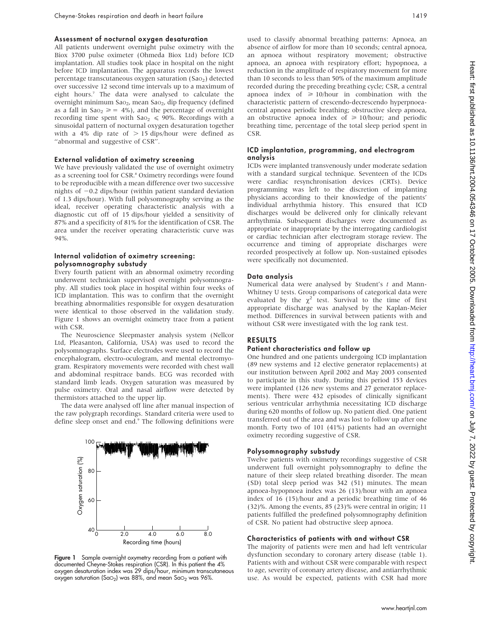#### Assessment of nocturnal oxygen desaturation

All patients underwent overnight pulse oximetry with the Biox 3700 pulse oximeter (Ohmeda Biox Ltd) before ICD implantation. All studies took place in hospital on the night before ICD implantation. The apparatus records the lowest percentage transcutaneous oxygen saturation (Sao<sub>2</sub>) detected over successive 12 second time intervals up to a maximum of eight hours.7 The data were analysed to calculate the overnight minimum Sa $\sigma$ <sub>2</sub>, mean Sa $\sigma$ <sub>2</sub>, dip frequency (defined as a fall in  $Sao_2 \ge 4\%)$ , and the percentage of overnight recording time spent with  $Sao_2 \le 90\%$ . Recordings with a sinusoidal pattern of nocturnal oxygen desaturation together with a 4% dip rate of  $> 15$  dips/hour were defined as ''abnormal and suggestive of CSR''.

#### External validation of oximetry screening

We have previously validated the use of overnight oximetry as a screening tool for CSR.<sup>8</sup> Oximetry recordings were found to be reproducible with a mean difference over two successive nights of  $-0.2$  dips/hour (within patient standard deviation of 1.3 dips/hour). With full polysomnography serving as the ideal, receiver operating characteristic analysis with a diagnostic cut off of 15 dips/hour yielded a sensitivity of 87% and a specificity of 81% for the identification of CSR. The area under the receiver operating characteristic curve was 94%.

#### Internal validation of oximetry screening: polysomnography substudy

Every fourth patient with an abnormal oximetry recording underwent technician supervised overnight polysomnography. All studies took place in hospital within four weeks of ICD implantation. This was to confirm that the overnight breathing abnormalities responsible for oxygen desaturation were identical to those observed in the validation study. Figure 1 shows an overnight oximetry trace from a patient with CSR.

The Neuroscience Sleepmaster analysis system (Nellcor Ltd, Pleasanton, California, USA) was used to record the polysomnographs. Surface electrodes were used to record the encephalogram, electro-oculogram, and mental electromyogram. Respiratory movements were recorded with chest wall and abdominal respitrace bands. ECG was recorded with standard limb leads. Oxygen saturation was measured by pulse oximetry. Oral and nasal airflow were detected by thermistors attached to the upper lip.

The data were analysed off line after manual inspection of the raw polygraph recordings. Standard criteria were used to define sleep onset and end.<sup>9</sup> The following definitions were



Figure 1 Sample overnight oxymetry recording from a patient with documented Cheyne-Stokes respiration (CSR). In this patient the 4% oxygen desaturation index was 29 dips/hour, minimum transcutaneous oxygen saturation (SaO<sub>2</sub>) was 88%, and mean SaO<sub>2</sub> was 96%.

used to classify abnormal breathing patterns: Apnoea, an absence of airflow for more than 10 seconds; central apnoea, an apnoea without respiratory movement; obstructive apnoea, an apnoea with respiratory effort; hypopnoea, a reduction in the amplitude of respiratory movement for more than 10 seconds to less than 50% of the maximum amplitude recorded during the preceding breathing cycle; CSR, a central apnoea index of  $\geq$  10/hour in combination with the characteristic pattern of crescendo-decrescendo hyperpnoeacentral apnoea periodic breathing; obstructive sleep apnoea, an obstructive apnoea index of  $\geq 10$ /hour; and periodic breathing time, percentage of the total sleep period spent in CSR.

#### ICD implantation, programming, and electrogram analysis

ICDs were implanted transvenously under moderate sedation with a standard surgical technique. Seventeen of the ICDs were cardiac resynchronisation devices (CRTs). Device programming was left to the discretion of implanting physicians according to their knowledge of the patients' individual arrhythmia history. This ensured that ICD discharges would be delivered only for clinically relevant arrhythmia. Subsequent discharges were documented as appropriate or inappropriate by the interrogating cardiologist or cardiac technician after electrogram storage review. The occurrence and timing of appropriate discharges were recorded prospectively at follow up. Non-sustained episodes were specifically not documented.

#### Data analysis

Numerical data were analysed by Student's t and Mann-Whitney U tests. Group comparisons of categorical data were evaluated by the  $\chi^2$  test. Survival to the time of first appropriate discharge was analysed by the Kaplan-Meier method. Differences in survival between patients with and without CSR were investigated with the log rank test.

#### RESULTS

#### Patient characteristics and follow up

One hundred and one patients undergoing ICD implantation (89 new systems and 12 elective generator replacements) at our institution between April 2002 and May 2003 consented to participate in this study. During this period 153 devices were implanted (126 new systems and 27 generator replacements). There were 432 episodes of clinically significant serious ventricular arrhythmia necessitating ICD discharge during 620 months of follow up. No patient died. One patient transferred out of the area and was lost to follow up after one month. Forty two of 101 (41%) patients had an overnight oximetry recording suggestive of CSR.

#### Polysomnography substudy

Twelve patients with oximetry recordings suggestive of CSR underwent full overnight polysomnography to define the nature of their sleep related breathing disorder. The mean (SD) total sleep period was 342 (51) minutes. The mean apnoea-hypopnoea index was 26 (13)/hour with an apnoea index of 16 (15)/hour and a periodic breathing time of 46 (32)%. Among the events, 85 (23)% were central in origin; 11 patients fulfilled the predefined polysomnography definition of CSR. No patient had obstructive sleep apnoea.

#### Characteristics of patients with and without CSR

The majority of patients were men and had left ventricular dysfunction secondary to coronary artery disease (table 1). Patients with and without CSR were comparable with respect to age, severity of coronary artery disease, and antiarrhythmic use. As would be expected, patients with CSR had more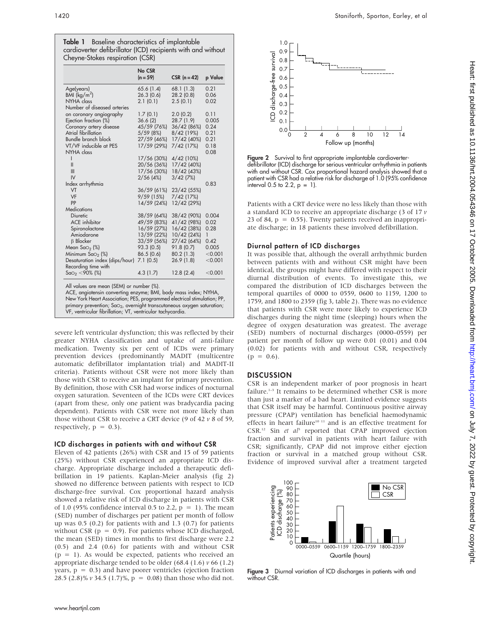| Table 1 Baseline characteristics of implantable              |  |
|--------------------------------------------------------------|--|
| cardioverter defibrillator (ICD) recipients with and without |  |
| Cheyne-Stokes respiration (CSR)                              |  |

|                                                                                                                                                                                                                                                                              | No CSR      |              |         |
|------------------------------------------------------------------------------------------------------------------------------------------------------------------------------------------------------------------------------------------------------------------------------|-------------|--------------|---------|
|                                                                                                                                                                                                                                                                              | $(n = 59)$  | CSR $(n=42)$ | p Value |
| Age(years)                                                                                                                                                                                                                                                                   | 65.6(1.4)   | 68.1 (1.3)   | 0.21    |
| BMI $(kq/m^2)$                                                                                                                                                                                                                                                               | 26.3(0.6)   | 28.2(0.8)    | 0.06    |
| NYHA class                                                                                                                                                                                                                                                                   | 2.1(0.1)    | 2.5(0.1)     | 0.02    |
| Number of diseased arteries                                                                                                                                                                                                                                                  |             |              |         |
| on coronary angiography                                                                                                                                                                                                                                                      | 1.7(0.1)    | 2.0(0.2)     | 0.11    |
| Ejection fraction (%)                                                                                                                                                                                                                                                        | 36.6(2)     | 28.7 (1.9)   | 0.005   |
| Coronary artery disease                                                                                                                                                                                                                                                      | 45/59 (76%) | 36/42 (86%)  | 0.24    |
| <b>Atrial fibrillation</b>                                                                                                                                                                                                                                                   | 5/59(8%)    | 8/42 (19%)   | 0.21    |
| <b>Bundle branch block</b>                                                                                                                                                                                                                                                   | 27/59 (46%) | 17/42 (40%)  | 0.21    |
| VT/VF inducible at PES                                                                                                                                                                                                                                                       | 17/59 (29%) | $7/42$ (17%) | 0.18    |
| NYHA class                                                                                                                                                                                                                                                                   |             |              | 0.08    |
| ı                                                                                                                                                                                                                                                                            | 17/56 (30%) | 4/42(10%)    |         |
| $\mathsf{I}$                                                                                                                                                                                                                                                                 | 20/56 (36%) | 17/42 (40%)  |         |
| Ш                                                                                                                                                                                                                                                                            | 17/56 (30%) | 18/42 (43%)  |         |
| IV                                                                                                                                                                                                                                                                           | $2/56$ (4%) | $3/42$ (7%)  |         |
| Index arrhythmia                                                                                                                                                                                                                                                             |             |              | 0.83    |
| VT                                                                                                                                                                                                                                                                           | 36/59(61%)  | 23/42 (55%)  |         |
| VF                                                                                                                                                                                                                                                                           | 9/59(15%)   | 7/42 (17%)   |         |
| PP                                                                                                                                                                                                                                                                           | 14/59 (24%) | 12/42 (29%)  |         |
| <b>Medications</b>                                                                                                                                                                                                                                                           |             |              |         |
| Diuretic                                                                                                                                                                                                                                                                     | 38/59 (64%) | 38/42 (90%)  | 0.004   |
| <b>ACE</b> inhibitor                                                                                                                                                                                                                                                         | 49/59 (83%) | 41/42 (98%)  | 0.02    |
| Spironolactone                                                                                                                                                                                                                                                               | 16/59 (27%) | 16/42 (38%)  | 0.28    |
| Amiodarone                                                                                                                                                                                                                                                                   | 13/59 (22%) | 10/42 (24%)  | 1       |
| <b>B</b> Blocker                                                                                                                                                                                                                                                             | 33/59 (56%) | 27/42 (64%)  | 0.42    |
| Mean $Sao_2$ (%)                                                                                                                                                                                                                                                             | 93.3(0.5)   | 91.8 (0.7)   | 0.005   |
| Minimum SaO <sub>2</sub> (%)                                                                                                                                                                                                                                                 | 86.5(0.6)   | 80.2(1.3)    | < 0.001 |
| Desaturation index (dips/hour)                                                                                                                                                                                                                                               | 7.1(0.5)    | 26.9(1.8)    | < 0.001 |
| Recording time with                                                                                                                                                                                                                                                          |             |              |         |
| $Sao_2 < 90\%$ (%)                                                                                                                                                                                                                                                           | 4.3(1.7)    | 12.8(2.4)    | < 0.001 |
| All values are mean (SEM) or number (%).<br>ACE, angiotensin converting enzyme; BMI, body mass index; NYHA,<br>New York Heart Association; PES, programmed electrical stimulation; PP,<br>primary prevention: SaO <sub>2</sub> , overnight transcutaneous oxygen saturation: |             |              |         |

primary prevention; SaO2, overnight transcutaneous oxygen saturation; VF, ventricular fibrillation; VT, ventricular tachycardia.

severe left ventricular dysfunction; this was reflected by their greater NYHA classification and uptake of anti-failure medication. Twenty six per cent of ICDs were primary prevention devices (predominantly MADIT (multicentre automatic defibrillator implantation trial) and MADIT-II criteria). Patients without CSR were not more likely than those with CSR to receive an implant for primary prevention. By definition, those with CSR had worse indices of nocturnal oxygen saturation. Seventeen of the ICDs were CRT devices (apart from these, only one patient was bradycardia pacing dependent). Patients with CSR were not more likely than those without CSR to receive a CRT device (9 of 42  $\nu$  8 of 59, respectively,  $p = 0.3$ ).

## ICD discharges in patients with and without CSR

Eleven of 42 patients (26%) with CSR and 15 of 59 patients (25%) without CSR experienced an appropriate ICD discharge. Appropriate discharge included a therapeutic defibrillation in 19 patients. Kaplan-Meier analysis (fig 2) showed no difference between patients with respect to ICD discharge-free survival. Cox proportional hazard analysis showed a relative risk of ICD discharge in patients with CSR of 1.0 (95% confidence interval 0.5 to 2.2,  $p = 1$ ). The mean (SED) number of discharges per patient per month of follow up was 0.5 (0.2) for patients with and 1.3 (0.7) for patients without CSR ( $p = 0.9$ ). For patients whose ICD discharged, the mean (SED) times in months to first discharge were 2.2 (0.5) and 2.4 (0.6) for patients with and without CSR  $(p = 1)$ . As would be expected, patients who received an appropriate discharge tended to be older  $(68.4 \ (1.6) \ v \ 66 \ (1.2)$ years,  $p = 0.3$ ) and have poorer ventricles (ejection fraction 28.5 (2.8)%  $v$  34.5 (1.7)%,  $p = 0.08$ ) than those who did not.



Figure 2 Survival to first appropriate implantable cardioverterdefibrillator (ICD) discharge for serious ventricular arrhythmia in patients with and without CSR. Cox proportional hazard analysis showed that a patient with CSR had a relative risk for discharge of 1.0 (95% confidence interval 0.5 to 2.2,  $p = 1$ ).

Patients with a CRT device were no less likely than those with a standard ICD to receive an appropriate discharge (3 of 17  $\nu$ 23 of 84,  $p = 0.55$ ). Twenty patients received an inappropriate discharge; in 18 patients these involved defibrillation.

## Diurnal pattern of ICD discharges

It was possible that, although the overall arrhythmic burden between patients with and without CSR might have been identical, the groups might have differed with respect to their diurnal distribution of events. To investigate this, we compared the distribution of ICD discharges between the temporal quartiles of 0000 to 0559, 0600 to 1159, 1200 to 1759, and 1800 to 2359 (fig 3, table 2). There was no evidence that patients with CSR were more likely to experience ICD discharges during the night time (sleeping) hours when the degree of oxygen desaturation was greatest. The average (SED) numbers of nocturnal discharges (0000–0559) per patient per month of follow up were 0.01 (0.01) and 0.04 (0.02) for patients with and without CSR, respectively  $(p = 0.6)$ .

## **DISCUSSION**

CSR is an independent marker of poor prognosis in heart failure. $1-3$  It remains to be determined whether CSR is more than just a marker of a bad heart. Limited evidence suggests that CSR itself may be harmful. Continuous positive airway pressure (CPAP) ventilation has beneficial haemodynamic effects in heart failure<sup>10 11</sup> and is an effective treatment for CSR.<sup>12</sup> Sin et  $aI<sup>3</sup>$  reported that CPAP improved ejection fraction and survival in patients with heart failure with CSR; significantly, CPAP did not improve either ejection fraction or survival in a matched group without CSR. Evidence of improved survival after a treatment targeted



Figure 3 Diurnal variation of ICD discharges in patients with and without CSR.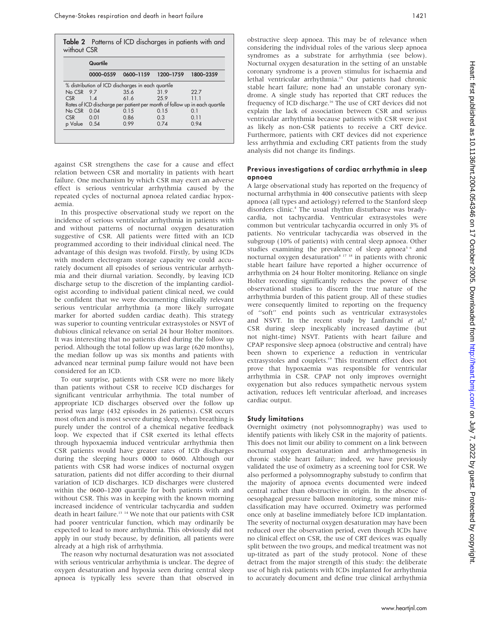Table 2 Patterns of ICD discharges in patients with and without CSR

|                                                                            | 0000-0559 |      | 0600-1159 1200-1759 | 1800-2359 |  |  |  |
|----------------------------------------------------------------------------|-----------|------|---------------------|-----------|--|--|--|
| % distribution of ICD discharges in each quartile                          |           |      |                     |           |  |  |  |
| $No CSR$ 9.7                                                               |           | 35.6 | 319                 | 22.7      |  |  |  |
| CSR                                                                        | $1\Delta$ | 616  | 259                 | 11 1      |  |  |  |
| Rates of ICD discharge per patient per month of follow up in each quartile |           |      |                     |           |  |  |  |
| $N_0$ CSR $0.04$                                                           |           | 015  | 0.15                | 0 1       |  |  |  |
| CSR                                                                        | 0.01      | 0.86 | 0.3                 | 011       |  |  |  |
| p Value 0.54                                                               |           | O 99 | 074                 | 0.94      |  |  |  |

against CSR strengthens the case for a cause and effect relation between CSR and mortality in patients with heart failure. One mechanism by which CSR may exert an adverse effect is serious ventricular arrhythmia caused by the repeated cycles of nocturnal apnoea related cardiac hypoxaemia.

In this prospective observational study we report on the incidence of serious ventricular arrhythmia in patients with and without patterns of nocturnal oxygen desaturation suggestive of CSR. All patients were fitted with an ICD programmed according to their individual clinical need. The advantage of this design was twofold. Firstly, by using ICDs with modern electrogram storage capacity we could accurately document all episodes of serious ventricular arrhythmia and their diurnal variation. Secondly, by leaving ICD discharge setup to the discretion of the implanting cardiologist according to individual patient clinical need, we could be confident that we were documenting clinically relevant serious ventricular arrhythmia (a more likely surrogate marker for aborted sudden cardiac death). This strategy was superior to counting ventricular extrasystoles or NSVT of dubious clinical relevance on serial 24 hour Holter monitors. It was interesting that no patients died during the follow up period. Although the total follow up was large (620 months), the median follow up was six months and patients with advanced near terminal pump failure would not have been considered for an ICD.

To our surprise, patients with CSR were no more likely than patients without CSR to receive ICD discharges for significant ventricular arrhythmia. The total number of appropriate ICD discharges observed over the follow up period was large (432 episodes in 26 patients). CSR occurs most often and is most severe during sleep, when breathing is purely under the control of a chemical negative feedback loop. We expected that if CSR exerted its lethal effects through hypoxaemia induced ventricular arrhythmia then CSR patients would have greater rates of ICD discharges during the sleeping hours 0000 to 0600. Although our patients with CSR had worse indices of nocturnal oxygen saturation, patients did not differ according to their diurnal variation of ICD discharges. ICD discharges were clustered within the 0600–1200 quartile for both patients with and without CSR. This was in keeping with the known morning increased incidence of ventricular tachycardia and sudden death in heart failure.<sup>13</sup> <sup>14</sup> We note that our patients with CSR had poorer ventricular function, which may ordinarily be expected to lead to more arrhythmia. This obviously did not apply in our study because, by definition, all patients were already at a high risk of arrhythmia.

The reason why nocturnal desaturation was not associated with serious ventricular arrhythmia is unclear. The degree of oxygen desaturation and hypoxia seen during central sleep apnoea is typically less severe than that observed in

obstructive sleep apnoea. This may be of relevance when considering the individual roles of the various sleep apnoea syndromes as a substrate for arrhythmia (see below). Nocturnal oxygen desaturation in the setting of an unstable coronary syndrome is a proven stimulus for ischaemia and lethal ventricular arrhythmia.<sup>15</sup> Our patients had chronic stable heart failure; none had an unstable coronary syndrome. A single study has reported that CRT reduces the frequency of ICD discharge.<sup>16</sup> The use of CRT devices did not explain the lack of association between CSR and serious ventricular arrhythmia because patients with CSR were just as likely as non-CSR patients to receive a CRT device. Furthermore, patients with CRT devices did not experience less arrhythmia and excluding CRT patients from the study analysis did not change its findings.

#### Previous investigations of cardiac arrhythmia in sleep apnoea

A large observational study has reported on the frequency of nocturnal arrhythmia in 400 consecutive patients with sleep apnoea (all types and aetiology) referred to the Stanford sleep disorders clinic.<sup>4</sup> The usual rhythm disturbance was bradycardia, not tachycardia. Ventricular extrasystoles were common but ventricular tachycardia occurred in only 3% of patients. No ventricular tachycardia was observed in the subgroup (10% of patients) with central sleep apnoea. Other studies examining the prevalence of sleep apnoea<sup>5 6</sup> and nocturnal oxygen desaturation<sup>8 17</sup> <sup>18</sup> in patients with chronic stable heart failure have reported a higher occurrence of arrhythmia on 24 hour Holter monitoring. Reliance on single Holter recording significantly reduces the power of these observational studies to discern the true nature of the arrhythmia burden of this patient group. All of these studies were consequently limited to reporting on the frequency of ''soft'' end points such as ventricular extrasystoles and NSVT. In the recent study by Lanfranchi et al,<sup>6</sup> CSR during sleep inexplicably increased daytime (but not night-time) NSVT. Patients with heart failure and CPAP responsive sleep apnoea (obstructive and central) have been shown to experience a reduction in ventricular extrasystoles and couplets.<sup>19</sup> This treatment effect does not prove that hypoxaemia was responsible for ventricular arrhythmia in CSR. CPAP not only improves overnight oxygenation but also reduces sympathetic nervous system activation, reduces left ventricular afterload, and increases cardiac output.

### Study limitations

Overnight oximetry (not polysomnography) was used to identify patients with likely CSR in the majority of patients. This does not limit our ability to comment on a link between nocturnal oxygen desaturation and arrhythmogenesis in chronic stable heart failure; indeed, we have previously validated the use of oximetry as a screening tool for CSR. We also performed a polysomnography substudy to confirm that the majority of apnoea events documented were indeed central rather than obstructive in origin. In the absence of oesophageal pressure balloon monitoring, some minor misclassification may have occurred. Oximetry was performed once only at baseline immediately before ICD implantation. The severity of nocturnal oxygen desaturation may have been reduced over the observation period, even though ICDs have no clinical effect on CSR, the use of CRT devices was equally split between the two groups, and medical treatment was not up-titrated as part of the study protocol. None of these detract from the major strength of this study: the deliberate use of high risk patients with ICDs implanted for arrhythmia to accurately document and define true clinical arrhythmia